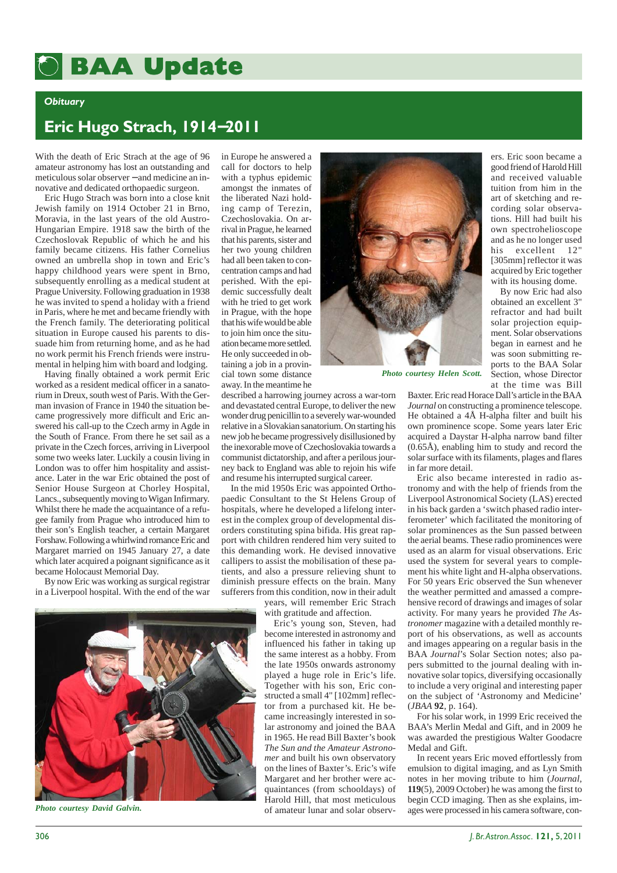# **BAA Update BAA Update**

### *Obituary*

## **Eric Hugo Strach, 1914**−**2011**

With the death of Eric Strach at the age of 96 amateur astronomy has lost an outstanding and meticulous solar observer − and medicine an innovative and dedicated orthopaedic surgeon.

Eric Hugo Strach was born into a close knit Jewish family on 1914 October 21 in Brno, Moravia, in the last years of the old Austro-Hungarian Empire. 1918 saw the birth of the Czechoslovak Republic of which he and his family became citizens. His father Cornelius owned an umbrella shop in town and Eric's happy childhood years were spent in Brno, subsequently enrolling as a medical student at Prague University. Following graduation in 1938 he was invited to spend a holiday with a friend in Paris, where he met and became friendly with the French family. The deteriorating political situation in Europe caused his parents to dissuade him from returning home, and as he had no work permit his French friends were instrumental in helping him with board and lodging.

Having finally obtained a work permit Eric worked as a resident medical officer in a sanatorium in Dreux, south west of Paris. With the German invasion of France in 1940 the situation became progressively more difficult and Eric answered his call-up to the Czech army in Agde in the South of France. From there he set sail as a private in the Czech forces, arriving in Liverpool some two weeks later. Luckily a cousin living in London was to offer him hospitality and assistance. Later in the war Eric obtained the post of Senior House Surgeon at Chorley Hospital, Lancs., subsequently moving to Wigan Infirmary. Whilst there he made the acquaintance of a refugee family from Prague who introduced him to their son's English teacher, a certain Margaret Forshaw. Following a whirlwind romance Eric and Margaret married on 1945 January 27, a date which later acquired a poignant significance as it became Holocaust Memorial Day.

By now Eric was working as surgical registrar in a Liverpool hospital. With the end of the war

in Europe he answered a call for doctors to help with a typhus epidemic amongst the inmates of the liberated Nazi holding camp of Terezin, Czechoslovakia. On arrival in Prague, he learned that his parents, sister and her two young children had all been taken to concentration camps and had perished. With the epidemic successfully dealt with he tried to get work in Prague, with the hope that his wife would be able to join him once the situation became more settled. He only succeeded in obtaining a job in a provincial town some distance away. In the meantime he

described a harrowing journey across a war-torn and devastated central Europe, to deliver the new wonder drug penicillin to a severely war-wounded relative in a Slovakian sanatorium. On starting his new job he became progressively disillusioned by the inexorable move of Czechoslovakia towards a communist dictatorship, and after a perilous journey back to England was able to rejoin his wife and resume his interrupted surgical career.

In the mid 1950s Eric was appointed Orthopaedic Consultant to the St Helens Group of hospitals, where he developed a lifelong interest in the complex group of developmental disorders constituting spina bifida. His great rapport with children rendered him very suited to this demanding work. He devised innovative callipers to assist the mobilisation of these patients, and also a pressure relieving shunt to diminish pressure effects on the brain. Many sufferers from this condition, now in their adult

years, will remember Eric Strach with gratitude and affection.

Eric's young son, Steven, had become interested in astronomy and influenced his father in taking up the same interest as a hobby. From the late 1950s onwards astronomy played a huge role in Eric's life. Together with his son, Eric constructed a small 4" [102mm] reflector from a purchased kit. He became increasingly interested in solar astronomy and joined the BAA in 1965. He read Bill Baxter's book *The Sun and the Amateur Astronomer* and built his own observatory on the lines of Baxter's. Eric's wife Margaret and her brother were acquaintances (from schooldays) of Harold Hill, that most meticulous of amateur lunar and solar observ-



*Photo courtesy Helen Scott.*

ers. Eric soon became a good friend of Harold Hill and received valuable tuition from him in the art of sketching and recording solar observations. Hill had built his own spectrohelioscope and as he no longer used his excellent 12" [305mm] reflector it was acquired by Eric together with its housing dome.

By now Eric had also obtained an excellent 3" refractor and had built solar projection equipment. Solar observations began in earnest and he was soon submitting reports to the BAA Solar Section, whose Director at the time was Bill

Baxter. Eric read Horace Dall's article in the BAA *Journal* on constructing a prominence telescope. He obtained a 4Å H-alpha filter and built his own prominence scope. Some years later Eric acquired a Daystar H-alpha narrow band filter (0.65Å), enabling him to study and record the solar surface with its filaments, plages and flares in far more detail.

Eric also became interested in radio astronomy and with the help of friends from the Liverpool Astronomical Society (LAS) erected in his back garden a 'switch phased radio interferometer' which facilitated the monitoring of solar prominences as the Sun passed between the aerial beams. These radio prominences were used as an alarm for visual observations. Eric used the system for several years to complement his white light and H-alpha observations. For 50 years Eric observed the Sun whenever the weather permitted and amassed a comprehensive record of drawings and images of solar activity. For many years he provided *The Astronomer* magazine with a detailed monthly report of his observations, as well as accounts and images appearing on a regular basis in the BAA *Journal*'s Solar Section notes; also papers submitted to the journal dealing with innovative solar topics, diversifying occasionally to include a very original and interesting paper on the subject of 'Astronomy and Medicine' (*JBAA* **92**, p. 164).

For his solar work, in 1999 Eric received the BAA's Merlin Medal and Gift, and in 2009 he was awarded the prestigious Walter Goodacre Medal and Gift.

In recent years Eric moved effortlessly from emulsion to digital imaging, and as Lyn Smith notes in her moving tribute to him (*Journal*, **119**(5), 2009 October) he was among the first to begin CCD imaging. Then as she explains, im-*Photo courtesy David Galvin.* of amateur lunar and solar observ-<br>of amateur lunar and solar observ-<br>ages were processed in his camera software, con-